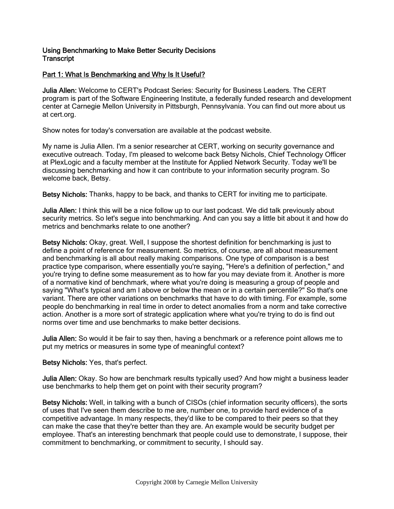## Using Benchmarking to Make Better Security Decisions **Transcript**

## Part 1: What Is Benchmarking and Why Is It Useful?

Julia Allen: Welcome to CERT's Podcast Series: Security for Business Leaders. The CERT program is part of the Software Engineering Institute, a federally funded research and development center at Carnegie Mellon University in Pittsburgh, Pennsylvania. You can find out more about us at cert.org.

Show notes for today's conversation are available at the podcast website.

My name is Julia Allen. I'm a senior researcher at CERT, working on security governance and executive outreach. Today, I'm pleased to welcome back Betsy Nichols, Chief Technology Officer at PlexLogic and a faculty member at the Institute for Applied Network Security. Today we'll be discussing benchmarking and how it can contribute to your information security program. So welcome back, Betsy.

Betsy Nichols: Thanks, happy to be back, and thanks to CERT for inviting me to participate.

Julia Allen: I think this will be a nice follow up to our last podcast. We did talk previously about security metrics. So let's segue into benchmarking. And can you say a little bit about it and how do metrics and benchmarks relate to one another?

Betsy Nichols: Okay, great. Well, I suppose the shortest definition for benchmarking is just to define a point of reference for measurement. So metrics, of course, are all about measurement and benchmarking is all about really making comparisons. One type of comparison is a best practice type comparison, where essentially you're saying, "Here's a definition of perfection," and you're trying to define some measurement as to how far you may deviate from it. Another is more of a normative kind of benchmark, where what you're doing is measuring a group of people and saying "What's typical and am I above or below the mean or in a certain percentile?" So that's one variant. There are other variations on benchmarks that have to do with timing. For example, some people do benchmarking in real time in order to detect anomalies from a norm and take corrective action. Another is a more sort of strategic application where what you're trying to do is find out norms over time and use benchmarks to make better decisions.

Julia Allen: So would it be fair to say then, having a benchmark or a reference point allows me to put my metrics or measures in some type of meaningful context?

Betsy Nichols: Yes, that's perfect.

Julia Allen: Okay. So how are benchmark results typically used? And how might a business leader use benchmarks to help them get on point with their security program?

Betsy Nichols: Well, in talking with a bunch of CISOs (chief information security officers), the sorts of uses that I've seen them describe to me are, number one, to provide hard evidence of a competitive advantage. In many respects, they'd like to be compared to their peers so that they can make the case that they're better than they are. An example would be security budget per employee. That's an interesting benchmark that people could use to demonstrate, I suppose, their commitment to benchmarking, or commitment to security, I should say.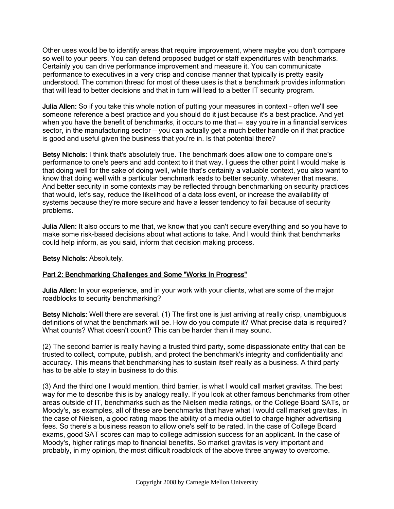Other uses would be to identify areas that require improvement, where maybe you don't compare so well to your peers. You can defend proposed budget or staff expenditures with benchmarks. Certainly you can drive performance improvement and measure it. You can communicate performance to executives in a very crisp and concise manner that typically is pretty easily understood. The common thread for most of these uses is that a benchmark provides information that will lead to better decisions and that in turn will lead to a better IT security program.

Julia Allen: So if you take this whole notion of putting your measures in context – often we'll see someone reference a best practice and you should do it just because it's a best practice. And yet when you have the benefit of benchmarks, it occurs to me that - say you're in a financial services sector, in the manufacturing sector – you can actually get a much better handle on if that practice is good and useful given the business that you're in. Is that potential there?

Betsy Nichols: I think that's absolutely true. The benchmark does allow one to compare one's performance to one's peers and add context to it that way. I guess the other point I would make is that doing well for the sake of doing well, while that's certainly a valuable context, you also want to know that doing well with a particular benchmark leads to better security, whatever that means. And better security in some contexts may be reflected through benchmarking on security practices that would, let's say, reduce the likelihood of a data loss event, or increase the availability of systems because they're more secure and have a lesser tendency to fail because of security problems.

Julia Allen: It also occurs to me that, we know that you can't secure everything and so you have to make some risk-based decisions about what actions to take. And I would think that benchmarks could help inform, as you said, inform that decision making process.

Betsy Nichols: Absolutely.

# Part 2: Benchmarking Challenges and Some "Works In Progress"

Julia Allen: In your experience, and in your work with your clients, what are some of the major roadblocks to security benchmarking?

Betsy Nichols: Well there are several. (1) The first one is just arriving at really crisp, unambiguous definitions of what the benchmark will be. How do you compute it? What precise data is required? What counts? What doesn't count? This can be harder than it may sound.

(2) The second barrier is really having a trusted third party, some dispassionate entity that can be trusted to collect, compute, publish, and protect the benchmark's integrity and confidentiality and accuracy. This means that benchmarking has to sustain itself really as a business. A third party has to be able to stay in business to do this.

(3) And the third one I would mention, third barrier, is what I would call market gravitas. The best way for me to describe this is by analogy really. If you look at other famous benchmarks from other areas outside of IT, benchmarks such as the Nielsen media ratings, or the College Board SATs, or Moody's, as examples, all of these are benchmarks that have what I would call market gravitas. In the case of Nielsen, a good rating maps the ability of a media outlet to charge higher advertising fees. So there's a business reason to allow one's self to be rated. In the case of College Board exams, good SAT scores can map to college admission success for an applicant. In the case of Moody's, higher ratings map to financial benefits. So market gravitas is very important and probably, in my opinion, the most difficult roadblock of the above three anyway to overcome.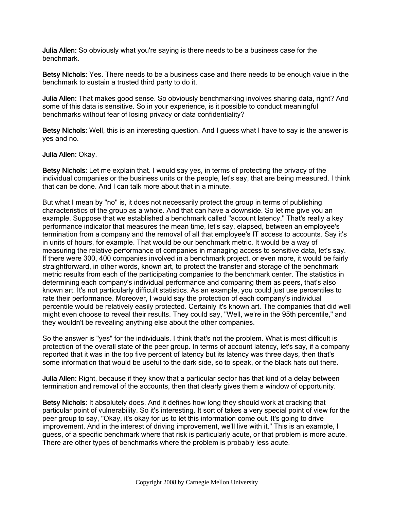Julia Allen: So obviously what you're saying is there needs to be a business case for the benchmark.

Betsy Nichols: Yes. There needs to be a business case and there needs to be enough value in the benchmark to sustain a trusted third party to do it.

Julia Allen: That makes good sense. So obviously benchmarking involves sharing data, right? And some of this data is sensitive. So in your experience, is it possible to conduct meaningful benchmarks without fear of losing privacy or data confidentiality?

Betsy Nichols: Well, this is an interesting question. And I guess what I have to say is the answer is yes and no.

#### Julia Allen: Okay.

Betsy Nichols: Let me explain that. I would say yes, in terms of protecting the privacy of the individual companies or the business units or the people, let's say, that are being measured. I think that can be done. And I can talk more about that in a minute.

But what I mean by "no" is, it does not necessarily protect the group in terms of publishing characteristics of the group as a whole. And that can have a downside. So let me give you an example. Suppose that we established a benchmark called "account latency." That's really a key performance indicator that measures the mean time, let's say, elapsed, between an employee's termination from a company and the removal of all that employee's IT access to accounts. Say it's in units of hours, for example. That would be our benchmark metric. It would be a way of measuring the relative performance of companies in managing access to sensitive data, let's say. If there were 300, 400 companies involved in a benchmark project, or even more, it would be fairly straightforward, in other words, known art, to protect the transfer and storage of the benchmark metric results from each of the participating companies to the benchmark center. The statistics in determining each company's individual performance and comparing them as peers, that's also known art. It's not particularly difficult statistics. As an example, you could just use percentiles to rate their performance. Moreover, I would say the protection of each company's individual percentile would be relatively easily protected. Certainly it's known art. The companies that did well might even choose to reveal their results. They could say, "Well, we're in the 95th percentile," and they wouldn't be revealing anything else about the other companies.

So the answer is "yes" for the individuals. I think that's not the problem. What is most difficult is protection of the overall state of the peer group. In terms of account latency, let's say, if a company reported that it was in the top five percent of latency but its latency was three days, then that's some information that would be useful to the dark side, so to speak, or the black hats out there.

Julia Allen: Right, because if they know that a particular sector has that kind of a delay between termination and removal of the accounts, then that clearly gives them a window of opportunity.

Betsy Nichols: It absolutely does. And it defines how long they should work at cracking that particular point of vulnerability. So it's interesting. It sort of takes a very special point of view for the peer group to say, "Okay, it's okay for us to let this information come out. It's going to drive improvement. And in the interest of driving improvement, we'll live with it." This is an example, I guess, of a specific benchmark where that risk is particularly acute, or that problem is more acute. There are other types of benchmarks where the problem is probably less acute.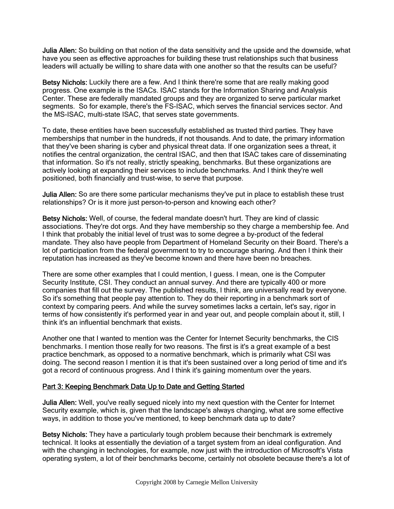**Julia Allen:** So building on that notion of the data sensitivity and the upside and the downside, what have you seen as effective approaches for building these trust relationships such that business leaders will actually be willing to share data with one another so that the results can be useful?

Betsy Nichols: Luckily there are a few. And I think there're some that are really making good progress. One example is the ISACs. ISAC stands for the Information Sharing and Analysis Center. These are federally mandated groups and they are organized to serve particular market segments. So for example, there's the FS-ISAC, which serves the financial services sector. And the MS-ISAC, multi-state ISAC, that serves state governments.

To date, these entities have been successfully established as trusted third parties. They have memberships that number in the hundreds, if not thousands. And to date, the primary information that they've been sharing is cyber and physical threat data. If one organization sees a threat, it notifies the central organization, the central ISAC, and then that ISAC takes care of disseminating that information. So it's not really, strictly speaking, benchmarks. But these organizations are actively looking at expanding their services to include benchmarks. And I think they're well positioned, both financially and trust-wise, to serve that purpose.

Julia Allen: So are there some particular mechanisms they've put in place to establish these trust relationships? Or is it more just person-to-person and knowing each other?

Betsy Nichols: Well, of course, the federal mandate doesn't hurt. They are kind of classic associations. They're dot orgs. And they have membership so they charge a membership fee. And I think that probably the initial level of trust was to some degree a by-product of the federal mandate. They also have people from Department of Homeland Security on their Board. There's a lot of participation from the federal government to try to encourage sharing. And then I think their reputation has increased as they've become known and there have been no breaches.

There are some other examples that I could mention, I guess. I mean, one is the Computer Security Institute, CSI. They conduct an annual survey. And there are typically 400 or more companies that fill out the survey. The published results, I think, are universally read by everyone. So it's something that people pay attention to. They do their reporting in a benchmark sort of context by comparing peers. And while the survey sometimes lacks a certain, let's say, rigor in terms of how consistently it's performed year in and year out, and people complain about it, still, I think it's an influential benchmark that exists.

Another one that I wanted to mention was the Center for Internet Security benchmarks, the CIS benchmarks. I mention those really for two reasons. The first is it's a great example of a best practice benchmark, as opposed to a normative benchmark, which is primarily what CSI was doing. The second reason I mention it is that it's been sustained over a long period of time and it's got a record of continuous progress. And I think it's gaining momentum over the years.

## Part 3: Keeping Benchmark Data Up to Date and Getting Started

Julia Allen: Well, you've really segued nicely into my next question with the Center for Internet Security example, which is, given that the landscape's always changing, what are some effective ways, in addition to those you've mentioned, to keep benchmark data up to date?

Betsy Nichols: They have a particularly tough problem because their benchmark is extremely technical. It looks at essentially the deviation of a target system from an ideal configuration. And with the changing in technologies, for example, now just with the introduction of Microsoft's Vista operating system, a lot of their benchmarks become, certainly not obsolete because there's a lot of